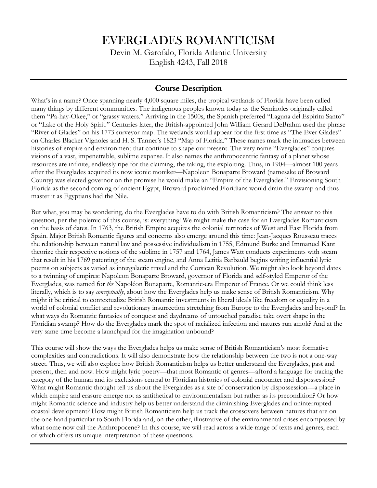# EVERGLADES ROMANTICISM

Devin M. Garofalo, Florida Atlantic University English 4243, Fall 2018

## Course Description

What's in a name? Once spanning nearly 4,000 square miles, the tropical wetlands of Florida have been called many things by different communities. The indigenous peoples known today as the Seminoles originally called them "Pa-hay-Okee," or "grassy waters." Arriving in the 1500s, the Spanish preferred "Laguna del Espiritu Santo" or "Lake of the Holy Spirit." Centuries later, the British-appointed John William Gerard DeBrahm used the phrase "River of Glades" on his 1773 surveyor map. The wetlands would appear for the first time as "The Ever Glades" on Charles Blacker Vignoles and H. S. Tanner's 1823 "Map of Florida." These names mark the intimacies between histories of empire and environment that continue to shape our present. The very name "Everglades" conjures visions of a vast, impenetrable, sublime expanse. It also names the anthropocentric fantasy of a planet whose resources are infinite, endlessly ripe for the claiming, the taking, the exploiting. Thus, in 1904—almost 100 years after the Everglades acquired its now iconic moniker—Napoleon Bonaparte Broward (namesake of Broward County) was elected governor on the promise he would make an "Empire of the Everglades." Envisioning South Florida as the second coming of ancient Egypt, Broward proclaimed Floridians would drain the swamp and thus master it as Egyptians had the Nile.

But what, you may be wondering, do the Everglades have to do with British Romanticism? The answer to this question, per the polemic of this course, is: everything! We might make the case for an Everglades Romanticism on the basis of dates. In 1763, the British Empire acquires the colonial territories of West and East Florida from Spain. Major British Romantic figures and concerns also emerge around this time: Jean-Jacques Rousseau traces the relationship between natural law and possessive individualism in 1755, Edmund Burke and Immanuel Kant theorize their respective notions of the sublime in 1757 and 1764, James Watt conducts experiments with steam that result in his 1769 patenting of the steam engine, and Anna Letitia Barbauld begins writing influential lyric poems on subjects as varied as intergalactic travel and the Corsican Revolution. We might also look beyond dates to a twinning of empires: Napoleon Bonaparte Broward, governor of Florida and self-styled Emperor of the Everglades, was named for *the* Napoléon Bonaparte, Romantic-era Emperor of France. Or we could think less literally, which is to say *conceptually*, about how the Everglades help us make sense of British Romanticism. Why might it be critical to contextualize British Romantic investments in liberal ideals like freedom or equality in a world of colonial conflict and revolutionary insurrection stretching from Europe to the Everglades and beyond? In what ways do Romantic fantasies of conquest and daydreams of untouched paradise take overt shape in the Floridian swamp? How do the Everglades mark the spot of racialized infection and natures run amok? And at the very same time become a launchpad for the imagination unbound?

This course will show the ways the Everglades helps us make sense of British Romanticism's most formative complexities and contradictions. It will also demonstrate how the relationship between the two is not a one-way street. Thus, we will also explore how British Romanticism helps us better understand the Everglades, past and present, then and now. How might lyric poetry—that most Romantic of genres—afford a language for tracing the category of the human and its exclusions central to Floridian histories of colonial encounter and dispossession? What might Romantic thought tell us about the Everglades as a site of conservation by dispossession—a place in which empire and erasure emerge not as antithetical to environmentalism but rather as its precondition? Or how might Romantic science and industry help us better understand the diminishing Everglades and uninterrupted coastal development? How might British Romanticism help us track the crossovers between natures that are on the one hand particular to South Florida and, on the other, illustrative of the environmental crises encompassed by what some now call the Anthropocene? In this course, we will read across a wide range of texts and genres, each of which offers its unique interpretation of these questions.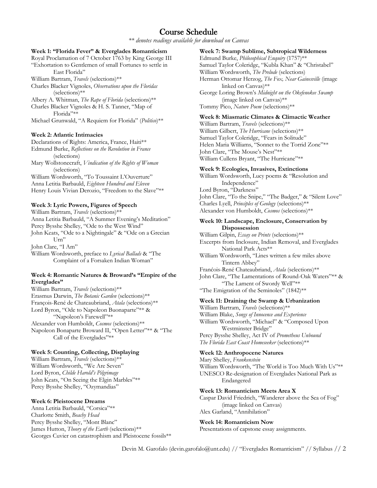## Course Schedule

*\*\* denotes readings available for download on Canvas*

#### **Week 1: "Florida Fever" & Everglades Romanticism**

Royal Proclamation of 7 October 1763 by King George III "Exhortation to Gentlemen of small Fortunes to settle in East Florida"

William Bartram, *Travels* (selections)\*\*

Charles Blacker Vignoles, *Observations upon the Floridas* (selections)\*\*

Albery A. Whitman, *The Rape of Florida* (selections)\*\* Charles Blacker Vignoles & H. S. Tanner, "Map of Florida"\*\*

Michael Grunwald, "A Requiem for Florida" (*Politico*)\*\*

#### **Week 2: Atlantic Intimacies**

Declarations of Rights: America, France, Haiti\*\* Edmund Burke, *Reflections on the Revolution in France* (selections) Mary Wollstonecraft, *Vindication of the Rights of Woman*

(selections)

William Wordsworth, "To Toussaint L'Ouverture" Anna Letitia Barbauld, *Eighteen Hundred and Eleven* Henry Louis Vivian Derozio, "Freedom to the Slave"\*\*

#### **Week 3: Lyric Powers, Figures of Speech**

William Bartram, *Travels* (selections)\*\* Anna Letitia Barbauld, "A Summer Evening's Meditation" Percy Bysshe Shelley, "Ode to the West Wind" John Keats, "Ode to a Nightingale" & "Ode on a Grecian U<sub>rn</sub>" John Clare, "I Am"

William Wordsworth, preface to *Lyrical Ballads* & "The Complaint of a Forsaken Indian Woman"

#### **Week 4: Romantic Natures & Broward's "Empire of the Everglades"**

William Bartram, *Travels* (selections)\*\* Erasmus Darwin, *The Botanic Garden* (selections)\*\* François-René de Chateaubriand, *Atala* (selections)\*\* Lord Byron, "Ode to Napoleon Buonaparte"\*\* & "Napoleon's Farewell"\*\* Alexander von Humboldt, *Cosmos* (selections)\*\* Napoleon Bonaparte Broward II, "Open Letter"\*\* & "The Call of the Everglades"\*\*

### **Week 5: Counting, Collecting, Displaying**

William Bartram, *Travels* (selections)\*\* William Wordsworth, "We Are Seven" Lord Byron, *Childe Harold's Pilgrimage* John Keats, "On Seeing the Elgin Marbles"\*\* Percy Bysshe Shelley, "Ozymandias"

#### **Week 6: Pleistocene Dreams**

Anna Letitia Barbauld, "Corsica"\*\* Charlotte Smith, *Beachy Head* Percy Bysshe Shelley, "Mont Blanc" James Hutton, *Theory of the Earth* (selections)\*\* Georges Cuvier on catastrophism and Pleistocene fossils\*\* **Week 7: Swamp Sublime, Subtropical Wilderness**

Edmund Burke, *Philosophical Enquiry* (1757)\*\* Samuel Taylor Coleridge, "Kubla Khan" & "Christabel" William Wordsworth, *The Prelude* (selections) Herman Ottomar Herzog, *The Fox, Near Gainesville* (image linked on Canvas)\*\* George Loring Brown's *Midnight on the Okefenokee Swamp* (image linked on Canvas)\*\* Tommy Pico, *Nature Poem* (selections)\*\*

## **Week 8: Miasmatic Climates & Climactic Weather**

William Bartram, *Travels* (selections)\*\* William Gilbert, *The Hurricane* (selections)\*\* Samuel Taylor Coleridge, "Fears in Solitude" Helen Maria Williams, "Sonnet to the Torrid Zone"\*\* John Clare, "The Mouse's Nest"\*\* William Cullens Bryant, "The Hurricane"\*\*

#### **Week 9: Ecologies, Invasives, Extinctions**

William Wordsworth, Lucy poems & "Resolution and Independence" Lord Byron, "Darkness" John Clare, "To the Snipe," "The Badger," & "Silent Love" Charles Lyell, *Principles of Geology* (selections)\*\* Alexander von Humboldt, *Cosmos* (selections)\*\*

#### **Week 10: Landscape, Enclosure, Conservation by Dispossession**

William Gilpin, *Essay on Prints* (selections)\*\* Excerpts from Inclosure, Indian Removal, and Everglades National Park Acts\*\* William Wordsworth, "Lines written a few miles above Tintern Abbey" Franćois-René Chateaubriand, *Atala* (selections)\*\* John Clare, "The Lamentations of Round-Oak Waters"\*\* & "The Lament of Swordy Well"\*\* "The Emigration of the Seminoles" (1842)\*\*

#### **Week 11: Draining the Swamp & Urbanization**

William Bartram, *Travels* (selections)\*\* William Blake, *Songs of Innocence and Experience* William Wordsworth, "Michael" & "Composed Upon Westminster Bridge" Percy Bysshe Shelley, Act IV of *Prometheus Unbound The Florida East Coast Homeseeker* (selections)\*\*

#### **Week 12: Anthropocene Natures**

Mary Shelley, *Frankenstein*  William Wordsworth, "The World is Too Much With Us"\*\* UNESCO Re-designation of Everglades National Park as Endangered

#### **Week 13: Romanticism Meets Area X**

Caspar David Friedrich, "Wanderer above the Sea of Fog" (image linked on Canvas) Alex Garland, "Annihilation"

#### **Week 14: Romanticism Now**

Presentations of capstone essay assignments.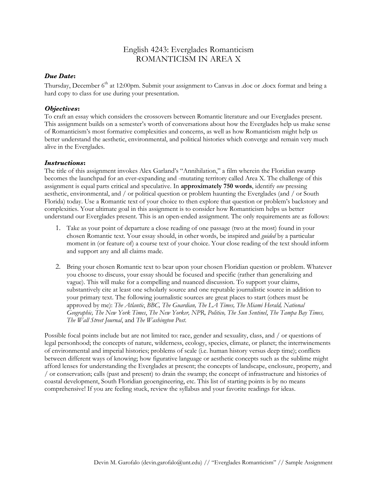## English 4243: Everglades Romanticism ROMANTICISM IN AREA X

## *Due Date***:**

Thursday, December 6<sup>th</sup> at 12:00pm. Submit your assignment to Canvas in .doc or .docx format and bring a hard copy to class for use during your presentation.

### *Objectives***:**

To craft an essay which considers the crossovers between Romantic literature and our Everglades present. This assignment builds on a semester's worth of conversations about how the Everglades help us make sense of Romanticism's most formative complexities and concerns, as well as how Romanticism might help us better understand the aesthetic, environmental, and political histories which converge and remain very much alive in the Everglades.

### *Instructions***:**

The title of this assignment invokes Alex Garland's "Annihilation," a film wherein the Floridian swamp becomes the launchpad for an ever-expanding and -mutating territory called Area X. The challenge of this assignment is equal parts critical and speculative. In **approximately 750 words**, identify *one* pressing aesthetic, environmental, and / or political question or problem haunting the Everglades (and / or South Florida) today. Use a Romantic text of your choice to then explore that question or problem's backstory and complexities. Your ultimate goal in this assignment is to consider how Romanticism helps us better understand our Everglades present. This is an open-ended assignment. The only requirements are as follows:

- 1. Take as your point of departure a close reading of one passage (two at the most) found in your chosen Romantic text. Your essay should, in other words, be inspired and *guided* by a particular moment in (or feature of) a course text of your choice. Your close reading of the text should inform and support any and all claims made.
- 2. Bring your chosen Romantic text to bear upon your chosen Floridian question or problem. Whatever you choose to discuss, your essay should be focused and specific (rather than generalizing and vague). This will make for a compelling and nuanced discussion. To support your claims, substantively cite at least one scholarly source and one reputable journalistic source in addition to your primary text. The following journalistic sources are great places to start (others must be approved by me): *The Atlantic*, *BBC, The Guardian, The LA Times, The Miami Herald, National Geographic, The New York Times*, *The New Yorker, NPR, Politico, The Sun Sentinel*, *The Tampa Bay Times, The Wall Street Journal*, and *The Washington Post*.

Possible focal points include but are not limited to: race, gender and sexuality, class, and / or questions of legal personhood; the concepts of nature, wilderness, ecology, species, climate, or planet; the intertwinements of environmental and imperial histories; problems of scale (i.e. human history versus deep time); conflicts between different ways of knowing; how figurative language or aesthetic concepts such as the sublime might afford lenses for understanding the Everglades at present; the concepts of landscape, enclosure, property, and / or conservation; calls (past and present) to drain the swamp; the concept of infrastructure and histories of coastal development, South Floridian geoengineering, etc. This list of starting points is by no means comprehensive! If you are feeling stuck, review the syllabus and your favorite readings for ideas.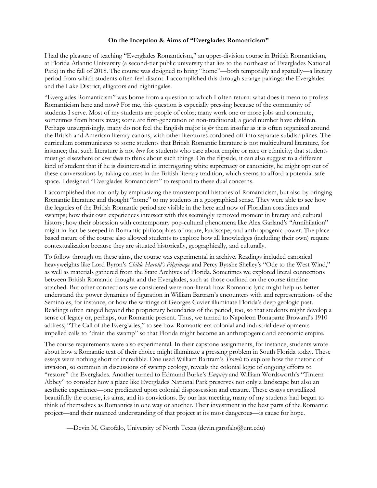### **On the Inception & Aims of "Everglades Romanticism"**

I had the pleasure of teaching "Everglades Romanticism," an upper-division course in British Romanticism, at Florida Atlantic University (a second-tier public university that lies to the northeast of Everglades National Park) in the fall of 2018. The course was designed to bring "home"—both temporally and spatially—a literary period from which students often feel distant. I accomplished this through strange pairings: the Everglades and the Lake District, alligators and nightingales.

"Everglades Romanticism" was borne from a question to which I often return: what does it mean to profess Romanticism here and now? For me, this question is especially pressing because of the community of students I serve. Most of my students are people of color; many work one or more jobs and commute, sometimes from hours away; some are first-generation or non-traditional; a good number have children. Perhaps unsurprisingly, many do not feel the English major is *for* them insofar as it is often organized around the British and American literary canons, with other literatures cordoned off into separate subdisciplines. The curriculum communicates to some students that British Romantic literature is not multicultural literature, for instance; that such literature is not *here* for students who care about empire or race or ethnicity; that students must go elsewhere or *over there* to think about such things. On the flipside, it can also suggest to a different kind of student that if he is disinterested in interrogating white supremacy or canonicity, he might opt out of these conversations by taking courses in the British literary tradition, which seems to afford a potential safe space. I designed "Everglades Romanticism" to respond to these dual concerns.

I accomplished this not only by emphasizing the transtemporal histories of Romanticism, but also by bringing Romantic literature and thought "home" to my students in a geographical sense. They were able to see how the legacies of the British Romantic period are visible in the here and now of Floridian coastlines and swamps; how their own experiences intersect with this seemingly removed moment in literary and cultural history; how their obsession with contemporary pop-cultural phenomena like Alex Garland's "Annihilation" might in fact be steeped in Romantic philosophies of nature, landscape, and anthropogenic power. The placebased nature of the course also allowed students to explore how all knowledges (including their own) require contextualization because they are situated historically, geographically, and culturally.

To follow through on these aims, the course was experimental in archive. Readings included canonical heavyweights like Lord Byron's *Childe Harold's Pilgrimage* and Percy Bysshe Shelley's "Ode to the West Wind," as well as materials gathered from the State Archives of Florida. Sometimes we explored literal connections between British Romantic thought and the Everglades, such as those outlined on the course timeline attached. But other connections we considered were non-literal: how Romantic lyric might help us better understand the power dynamics of figuration in William Bartram's encounters with and representations of the Seminoles, for instance, or how the writings of Georges Cuvier illuminate Florida's deep geologic past. Readings often ranged beyond the proprietary boundaries of the period, too, so that students might develop a sense of legacy or, perhaps, our Romantic present. Thus, we turned to Napoleon Bonaparte Broward's 1910 address, "The Call of the Everglades," to see how Romantic-era colonial and industrial developments impelled calls to "drain the swamp" so that Florida might become an anthropogenic and economic empire.

The course requirements were also experimental. In their capstone assignments, for instance, students wrote about how a Romantic text of their choice might illuminate a pressing problem in South Florida today. These essays were nothing short of incredible. One used William Bartram's *Travels* to explore how the rhetoric of invasion, so common in discussions of swamp ecology, reveals the colonial logic of ongoing efforts to "restore" the Everglades. Another turned to Edmund Burke's *Enquiry* and William Wordsworth's "Tintern Abbey" to consider how a place like Everglades National Park preserves not only a landscape but also an aesthetic experience—one predicated upon colonial dispossession and erasure. These essays crystallized beautifully the course, its aims, and its convictions. By our last meeting, many of my students had begun to think of themselves as Romantics in one way or another. Their investment in the best parts of the Romantic project—and their nuanced understanding of that project at its most dangerous—is cause for hope.

—Devin M. Garofalo, University of North Texas (devin.garofalo@unt.edu)